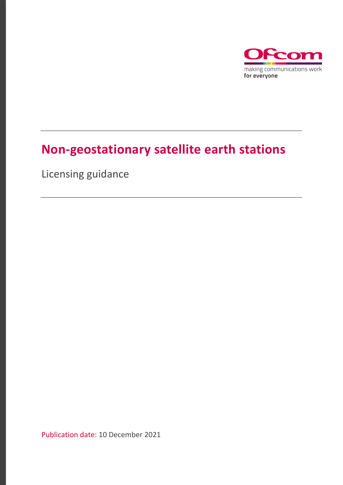

# **Non-geostationary satellite earth stations**

Licensing guidance

Publication date: 10 December 2021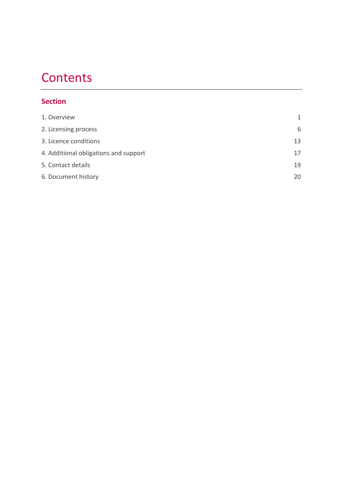# **Contents**

# **Section**

| 1. Overview                           | 1  |
|---------------------------------------|----|
| 2. Licensing process                  | 6  |
| 3. Licence conditions                 | 13 |
| 4. Additional obligations and support | 17 |
| 5. Contact details                    | 19 |
| 6. Document history                   |    |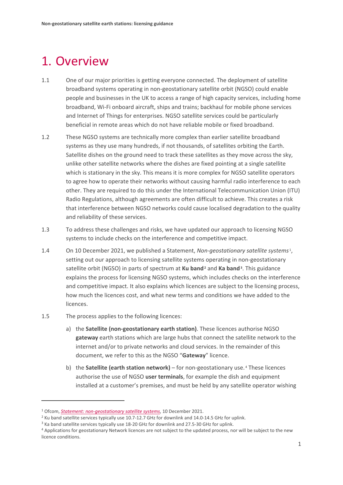# <span id="page-2-0"></span>1. Overview

- 1.1 One of our major priorities is getting everyone connected. The deployment of satellite broadband systems operating in non-geostationary satellite orbit (NGSO) could enable people and businesses in the UK to access a range of high capacity services, including home broadband, Wi-Fi onboard aircraft, ships and trains; backhaul for mobile phone services and Internet of Things for enterprises. NGSO satellite services could be particularly beneficial in remote areas which do not have reliable mobile or fixed broadband.
- 1.2 These NGSO systems are technically more complex than earlier satellite broadband systems as they use many hundreds, if not thousands, of satellites orbiting the Earth. Satellite dishes on the ground need to track these satellites as they move across the sky, unlike other satellite networks where the dishes are fixed pointing at a single satellite which is stationary in the sky. This means it is more complex for NGSO satellite operators to agree how to operate their networks without causing harmful radio interference to each other. They are required to do this under the International Telecommunication Union (ITU) Radio Regulations, although agreements are often difficult to achieve. This creates a risk that interference between NGSO networks could cause localised degradation to the quality and reliability of these services.
- 1.3 To address these challenges and risks, we have updated our approach to licensing NGSO systems to include checks on the interference and competitive impact.
- 1.4 On 10 December 2021, we published a Statement, *Non-geostationary satellite systems* [1,](#page-2-1) setting out our approach to licensing satellite systems operating in non-geostationary satellite orbit (NGSO) in parts of spectrum at **Ku band[2](#page-2-2)** and **Ka band[3](#page-2-3)**. This guidance explains the process for licensing NGSO systems, which includes checks on the interference and competitive impact. It also explains which licences are subject to the licensing process, how much the licences cost, and what new terms and conditions we have added to the licences.
- 1.5 The process applies to the following licences:
	- a) the **Satellite (non-geostationary earth station)**. These licences authorise NGSO **gateway** earth stations which are large hubs that connect the satellite network to the internet and/or to private networks and cloud services. In the remainder of this document, we refer to this as the NGSO "**Gateway**" licence.
	- b) the **Satellite (earth station network)** for non-geostationary use. [4](#page-2-4) These licences authorise the use of NGSO **user terminals**, for example the dish and equipment installed at a customer's premises, and must be held by any satellite operator wishing

<span id="page-2-1"></span><sup>1</sup> Ofcom, *Statement: [non-geostationary satellite systems](https://www.ofcom.org.uk/__data/assets/pdf_file/0018/229311/statement-ngso-licensing.pdf)*, 10 December 2021.

<span id="page-2-2"></span><sup>&</sup>lt;sup>2</sup> Ku band satellite services typically use 10.7-12.7 GHz for downlink and 14.0-14.5 GHz for uplink.

<span id="page-2-3"></span><sup>&</sup>lt;sup>3</sup> Ka band satellite services typically use 18-20 GHz for downlink and 27.5-30 GHz for uplink.

<span id="page-2-4"></span><sup>4</sup> Applications for geostationary Network licences are not subject to the updated process, nor will be subject to the new licence conditions.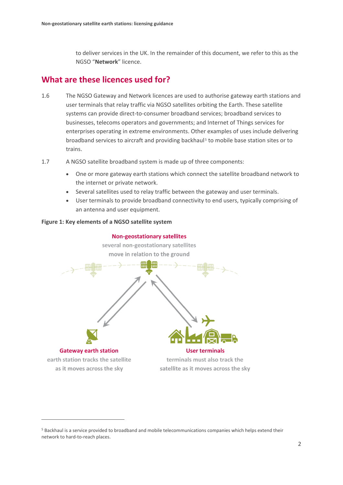to deliver services in the UK. In the remainder of this document, we refer to this as the NGSO "**Network**" licence.

## **What are these licences used for?**

- 1.6 The NGSO Gateway and Network licences are used to authorise gateway earth stations and user terminals that relay traffic via NGSO satellites orbiting the Earth. These satellite systems can provide direct-to-consumer broadband services; broadband services to businesses, telecoms operators and governments; and Internet of Things services for enterprises operating in extreme environments. Other examples of uses include delivering broadband services to aircraft and providing backhaul [5](#page-3-0) to mobile base station sites or to trains.
- 1.7 A NGSO satellite broadband system is made up of three components:
	- One or more gateway earth stations which connect the satellite broadband network to the internet or private network.
	- Several satellites used to relay traffic between the gateway and user terminals.
	- User terminals to provide broadband connectivity to end users, typically comprising of an antenna and user equipment.

#### **Figure 1: Key elements of a NGSO satellite system**



<span id="page-3-0"></span><sup>5</sup> Backhaul is a service provided to broadband and mobile telecommunications companies which helps extend their network to hard-to-reach places.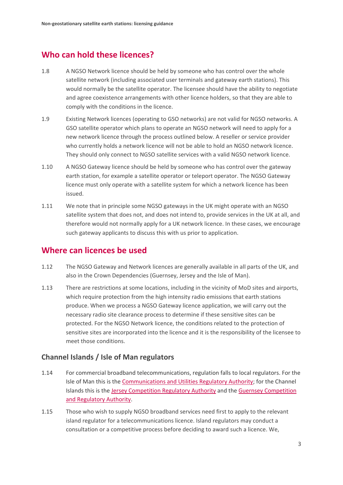# **Who can hold these licences?**

- 1.8 A NGSO Network licence should be held by someone who has control over the whole satellite network (including associated user terminals and gateway earth stations). This would normally be the satellite operator. The licensee should have the ability to negotiate and agree coexistence arrangements with other licence holders, so that they are able to comply with the conditions in the licence.
- 1.9 Existing Network licences (operating to GSO networks) are not valid for NGSO networks. A GSO satellite operator which plans to operate an NGSO network will need to apply for a new network licence through the process outlined below. A reseller or service provider who currently holds a network licence will not be able to hold an NGSO network licence. They should only connect to NGSO satellite services with a valid NGSO network licence.
- 1.10 A NGSO Gateway licence should be held by someone who has control over the gateway earth station, for example a satellite operator or teleport operator. The NGSO Gateway licence must only operate with a satellite system for which a network licence has been issued.
- 1.11 We note that in principle some NGSO gateways in the UK might operate with an NGSO satellite system that does not, and does not intend to, provide services in the UK at all, and therefore would not normally apply for a UK network licence. In these cases, we encourage such gateway applicants to discuss this with us prior to application.

## **Where can licences be used**

- 1.12 The NGSO Gateway and Network licences are generally available in all parts of the UK, and also in the Crown Dependencies (Guernsey, Jersey and the Isle of Man).
- 1.13 There are restrictions at some locations, including in the vicinity of MoD sites and airports, which require protection from the high intensity radio emissions that earth stations produce. When we process a NGSO Gateway licence application, we will carry out the necessary radio site clearance process to determine if these sensitive sites can be protected. For the NGSO Network licence, the conditions related to the protection of sensitive sites are incorporated into the licence and it is the responsibility of the licensee to meet those conditions.

## **Channel Islands / Isle of Man regulators**

- 1.14 For commercial broadband telecommunications, regulation falls to local regulators. For the Isle of Man this is the [Communications and Utilities Regulatory Authority;](http://www.iomcc.im/) for the Channel Islands this is the [Jersey Competition Regulatory Authority](http://www.jcra.je/) and the [Guernsey Competition](http://www.gcra.gg/)  [and Regulatory Authority.](http://www.gcra.gg/)
- 1.15 Those who wish to supply NGSO broadband services need first to apply to the relevant island regulator for a telecommunications licence. Island regulators may conduct a consultation or a competitive process before deciding to award such a licence. We,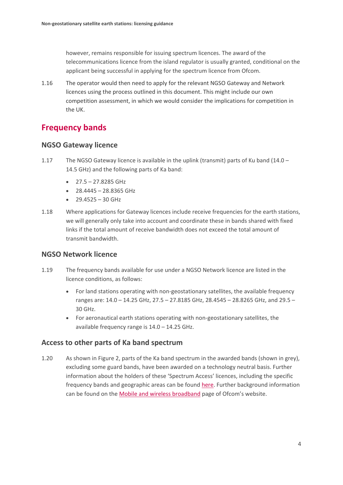however, remains responsible for issuing spectrum licences. The award of the telecommunications licence from the island regulator is usually granted, conditional on the applicant being successful in applying for the spectrum licence from Ofcom.

1.16 The operator would then need to apply for the relevant NGSO Gateway and Network licences using the process outlined in this document. This might include our own competition assessment, in which we would consider the implications for competition in the UK.

# **Frequency bands**

### **NGSO Gateway licence**

- 1.17 The NGSO Gateway licence is available in the uplink (transmit) parts of Ku band (14.0 14.5 GHz) and the following parts of Ka band:
	- $\bullet$  27.5 27.8285 GHz
	- $\bullet$  28.4445 28.8365 GHz
	- $29.4525 30$  GHz
- 1.18 Where applications for Gateway licences include receive frequencies for the earth stations, we will generally only take into account and coordinate these in bands shared with fixed links if the total amount of receive bandwidth does not exceed the total amount of transmit bandwidth.

### **NGSO Network licence**

- 1.19 The frequency bands available for use under a NGSO Network licence are listed in the licence conditions, as follows:
	- For land stations operating with non-geostationary satellites, the available frequency ranges are: 14.0 – 14.25 GHz, 27.5 – 27.8185 GHz, 28.4545 – 28.8265 GHz, and 29.5 – 30 GHz.
	- For aeronautical earth stations operating with non-geostationary satellites, the available frequency range is 14.0 – 14.25 GHz.

### **Access to other parts of Ka band spectrum**

1.20 As shown in Figure 2, parts of the Ka band spectrum in the awarded bands (shown in grey), excluding some guard bands, have been awarded on a technology neutral basis. Further information about the holders of these 'Spectrum Access' licences, including the specific frequency bands and geographic areas can be found [here.](https://www.ofcom.org.uk/__data/assets/pdf_file/0027/73926/Spectrum-bands-and-licence-areas-for-28-GHz..pdf) Further background information can be found on the [Mobile and wireless broadband](https://www.ofcom.org.uk/manage-your-licence/radiocommunication-licences/mobile-wireless-broadband) page of Ofcom's website.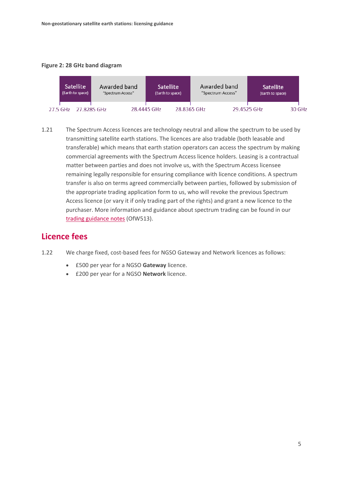#### **Figure 2: 28 GHz band diagram**



1.21 The Spectrum Access licences are technology neutral and allow the spectrum to be used by transmitting satellite earth stations. The licences are also tradable (both leasable and transferable) which means that earth station operators can access the spectrum by making commercial agreements with the Spectrum Access licence holders. Leasing is a contractual matter between parties and does not involve us, with the Spectrum Access licensee remaining legally responsible for ensuring compliance with licence conditions. A spectrum transfer is also on terms agreed commercially between parties, followed by submission of the appropriate trading application form to us, who will revoke the previous Spectrum Access licence (or vary it if only trading part of the rights) and grant a new licence to the purchaser. More information and guidance about spectrum trading can be found in our [trading guidance](https://www.ofcom.org.uk/__data/assets/pdf_file/0029/88337/Trading-guidance-notes.pdf) notes (OfW513).

## **Licence fees**

- 1.22 We charge fixed, cost-based fees for NGSO Gateway and Network licences as follows:
	- £500 per year for a NGSO **Gateway** licence.
	- £200 per year for a NGSO **Network** licence.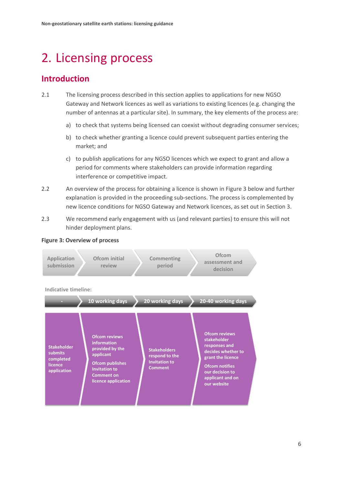# <span id="page-7-0"></span>2. Licensing process

# **Introduction**

- 2.1 The licensing process described in this section applies to applications for new NGSO Gateway and Network licences as well as variations to existing licences (e.g. changing the number of antennas at a particular site). In summary, the key elements of the process are:
	- a) to check that systems being licensed can coexist without degrading consumer services;
	- b) to check whether granting a licence could prevent subsequent parties entering the market; and
	- c) to publish applications for any NGSO licences which we expect to grant and allow a period for comments where stakeholders can provide information regarding interference or competitive impact.
- 2.2 An overview of the process for obtaining a licence is shown in Figure 3 below and further explanation is provided in the proceeding sub-sections. The process is complemented by new licence conditions for NGSO Gateway and Network licences, as set out in Section 3.
- 2.3 We recommend early engagement with us (and relevant parties) to ensure this will not hinder deployment plans.



**Figure 3: Overview of process**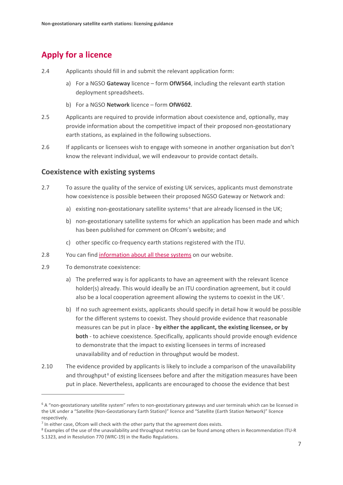# **Apply for a licence**

- 2.4 Applicants should fill in and submit the relevant application form:
	- a) For a NGSO **Gateway** licence form **OfW564**, including the relevant earth station deployment spreadsheets.
	- b) For a NGSO **Network** licence form **OfW602**.
- 2.5 Applicants are required to provide information about coexistence and, optionally, may provide information about the competitive impact of their proposed non-geostationary earth stations, as explained in the following subsections.
- 2.6 If applicants or licensees wish to engage with someone in another organisation but don't know the relevant individual, we will endeavour to provide contact details.

#### **Coexistence with existing systems**

- 2.7 To assure the quality of the service of existing UK services, applicants must demonstrate how coexistence is possible between their proposed NGSO Gateway or Network and:
	- a) existing non-geostationary satellite systems<sup>[6](#page-8-0)</sup> that are already licensed in the UK;
	- b) non-geostationary satellite systems for which an application has been made and which has been published for comment on Ofcom's website; and
	- c) other specific co-frequency earth stations registered with the ITU.
- 2.8 You can find [information about all these systems](https://www.ofcom.org.uk/manage-your-licence/radiocommunication-licences/satellite-earth/non-geo-fss) on our website.
- 2.9 To demonstrate coexistence:
	- a) The preferred way is for applicants to have an agreement with the relevant licence holder(s) already. This would ideally be an ITU coordination agreement, but it could also be a local cooperation agreement allowing the systems to coexist in the UK[7](#page-8-1).
	- b) If no such agreement exists, applicants should specify in detail how it would be possible for the different systems to coexist. They should provide evidence that reasonable measures can be put in place - **by either the applicant, the existing licensee, or by both** - to achieve coexistence. Specifically, applicants should provide enough evidence to demonstrate that the impact to existing licensees in terms of increased unavailability and of reduction in throughput would be modest.
- 2.10 The evidence provided by applicants is likely to include a comparison of the unavailability and throughput<sup>[8](#page-8-2)</sup> of existing licensees before and after the mitigation measures have been put in place. Nevertheless, applicants are encouraged to choose the evidence that best

<span id="page-8-0"></span><sup>&</sup>lt;sup>6</sup> A "non-geostationary satellite system" refers to non-geostationary gateways and user terminals which can be licensed in the UK under a "Satellite (Non-Geostationary Earth Station)" licence and "Satellite (Earth Station Network)" licence respectively.

<span id="page-8-1"></span> $<sup>7</sup>$  In either case, Ofcom will check with the other party that the agreement does exists.</sup>

<span id="page-8-2"></span><sup>8</sup> Examples of the use of the unavailability and throughput metrics can be found among others in Recommendation ITU-R S.1323, and in Resolution 770 (WRC-19) in the Radio Regulations.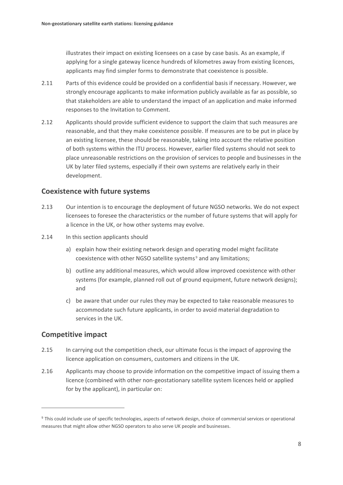illustrates their impact on existing licensees on a case by case basis. As an example, if applying for a single gateway licence hundreds of kilometres away from existing licences, applicants may find simpler forms to demonstrate that coexistence is possible.

- 2.11 Parts of this evidence could be provided on a confidential basis if necessary. However, we strongly encourage applicants to make information publicly available as far as possible, so that stakeholders are able to understand the impact of an application and make informed responses to the Invitation to Comment.
- 2.12 Applicants should provide sufficient evidence to support the claim that such measures are reasonable, and that they make coexistence possible. If measures are to be put in place by an existing licensee, these should be reasonable, taking into account the relative position of both systems within the ITU process. However, earlier filed systems should not seek to place unreasonable restrictions on the provision of services to people and businesses in the UK by later filed systems, especially if their own systems are relatively early in their development.

#### **Coexistence with future systems**

- 2.13 Our intention is to encourage the deployment of future NGSO networks. We do not expect licensees to foresee the characteristics or the number of future systems that will apply for a licence in the UK, or how other systems may evolve.
- 2.14 In this section applicants should
	- a) explain how their existing network design and operating model might facilitate coexistence with other NGSO satellite systems<sup>[9](#page-9-0)</sup> and any limitations;
	- b) outline any additional measures, which would allow improved coexistence with other systems (for example, planned roll out of ground equipment, future network designs); and
	- c) be aware that under our rules they may be expected to take reasonable measures to accommodate such future applicants, in order to avoid material degradation to services in the UK.

### **Competitive impact**

- 2.15 In carrying out the competition check, our ultimate focus is the impact of approving the licence application on consumers, customers and citizens in the UK.
- 2.16 Applicants may choose to provide information on the competitive impact of issuing them a licence (combined with other non-geostationary satellite system licences held or applied for by the applicant), in particular on:

<span id="page-9-0"></span><sup>9</sup> This could include use of specific technologies, aspects of network design, choice of commercial services or operational measures that might allow other NGSO operators to also serve UK people and businesses.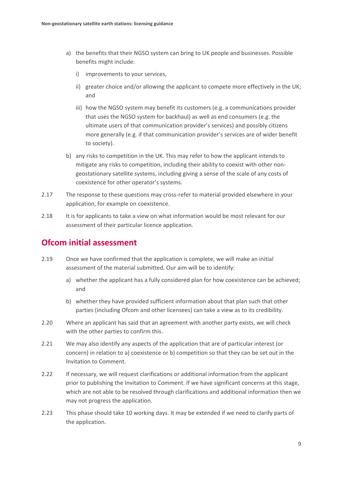- a) the benefits that their NGSO system can bring to UK people and businesses. Possible benefits might include:
	- i) improvements to your services,
	- ii) greater choice and/or allowing the applicant to compete more effectively in the UK; and
	- iii) how the NGSO system may benefit its customers (e.g. a communications provider that uses the NGSO system for backhaul) as well as end consumers (e.g. the ultimate users of that communication provider's services) and possibly citizens more generally (e.g. if that communication provider's services are of wider benefit to society).
- b) any risks to competition in the UK. This may refer to how the applicant intends to mitigate any risks to competition, including their ability to coexist with other nongeostationary satellite systems, including giving a sense of the scale of any costs of coexistence for other operator's systems.
- 2.17 The response to these questions may cross-refer to material provided elsewhere in your application, for example on coexistence.
- 2.18 It is for applicants to take a view on what information would be most relevant for our assessment of their particular licence application.

# **Ofcom initial assessment**

- 2.19 Once we have confirmed that the application is complete, we will make an initial assessment of the material submitted. Our aim will be to identify:
	- a) whether the applicant has a fully considered plan for how coexistence can be achieved; and
	- b) whether they have provided sufficient information about that plan such that other parties (including Ofcom and other licensees) can take a view as to its credibility.
- 2.20 Where an applicant has said that an agreement with another party exists, we will check with the other parties to confirm this.
- 2.21 We may also identify any aspects of the application that are of particular interest (or concern) in relation to a) coexistence or b) competition so that they can be set out in the Invitation to Comment.
- 2.22 If necessary, we will request clarifications or additional information from the applicant prior to publishing the Invitation to Comment. If we have significant concerns at this stage, which are not able to be resolved through clarifications and additional information then we may not progress the application.
- 2.23 This phase should take 10 working days. It may be extended if we need to clarify parts of the application.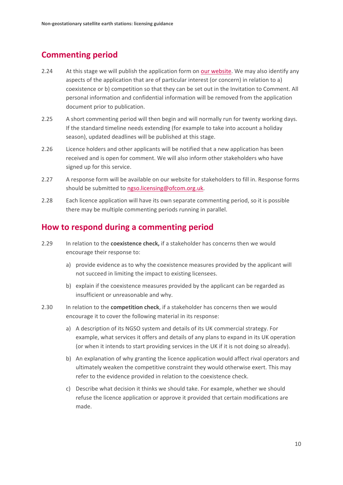# **Commenting period**

- 2.24 At this stage we will publish the application form on [our website.](https://www.ofcom.org.uk/manage-your-licence/radiocommunication-licences/satellite-earth/non-geo-fss) We may also identify any aspects of the application that are of particular interest (or concern) in relation to a) coexistence or b) competition so that they can be set out in the Invitation to Comment. All personal information and confidential information will be removed from the application document prior to publication.
- 2.25 A short commenting period will then begin and will normally run for twenty working days. If the standard timeline needs extending (for example to take into account a holiday season), updated deadlines will be published at this stage.
- 2.26 Licence holders and other applicants will be notified that a new application has been received and is open for comment. We will also inform other stakeholders who have signed up for this service.
- 2.27 A response form will be available on our website for stakeholders to fill in. Response forms should be submitted to [ngso.licensing@ofcom.org.uk.](mailto:ngso.licensing@ofcom.org.uk)
- 2.28 Each licence application will have its own separate commenting period, so it is possible there may be multiple commenting periods running in parallel.

## **How to respond during a commenting period**

- 2.29 In relation to the **coexistence check,** if a stakeholder has concerns then we would encourage their response to:
	- a) provide evidence as to why the coexistence measures provided by the applicant will not succeed in limiting the impact to existing licensees.
	- b) explain if the coexistence measures provided by the applicant can be regarded as insufficient or unreasonable and why.
- 2.30 In relation to the **competition check**, if a stakeholder has concerns then we would encourage it to cover the following material in its response:
	- a) A description of its NGSO system and details of its UK commercial strategy. For example, what services it offers and details of any plans to expand in its UK operation (or when it intends to start providing services in the UK if it is not doing so already).
	- b) An explanation of why granting the licence application would affect rival operators and ultimately weaken the competitive constraint they would otherwise exert. This may refer to the evidence provided in relation to the coexistence check.
	- c) Describe what decision it thinks we should take. For example, whether we should refuse the licence application or approve it provided that certain modifications are made.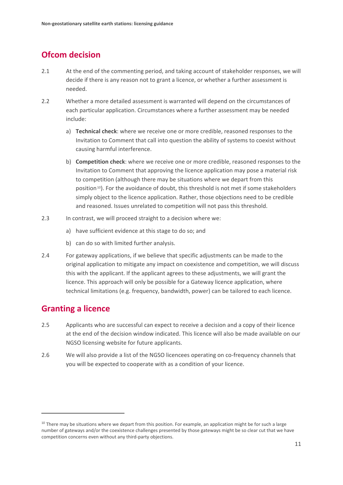# **Ofcom decision**

- 2.1 At the end of the commenting period, and taking account of stakeholder responses, we will decide if there is any reason not to grant a licence, or whether a further assessment is needed.
- 2.2 Whether a more detailed assessment is warranted will depend on the circumstances of each particular application. Circumstances where a further assessment may be needed include:
	- a) **Technical check**: where we receive one or more credible, reasoned responses to the Invitation to Comment that call into question the ability of systems to coexist without causing harmful interference.
	- b) **Competition check**: where we receive one or more credible, reasoned responses to the Invitation to Comment that approving the licence application may pose a material risk to competition (although there may be situations where we depart from this position<sup>10</sup>). For the avoidance of doubt, this threshold is not met if some stakeholders simply object to the licence application. Rather, those objections need to be credible and reasoned. Issues unrelated to competition will not pass this threshold.
- 2.3 In contrast, we will proceed straight to a decision where we:
	- a) have sufficient evidence at this stage to do so; and
	- b) can do so with limited further analysis.
- 2.4 For gateway applications, if we believe that specific adjustments can be made to the original application to mitigate any impact on coexistence and competition, we will discuss this with the applicant. If the applicant agrees to these adjustments, we will grant the licence. This approach will only be possible for a Gateway licence application, where technical limitations (e.g. frequency, bandwidth, power) can be tailored to each licence.

## **Granting a licence**

- 2.5 Applicants who are successful can expect to receive a decision and a copy of their licence at the end of the decision window indicated. This licence will also be made available on our NGSO licensing website for future applicants.
- 2.6 We will also provide a list of the NGSO licencees operating on co-frequency channels that you will be expected to cooperate with as a condition of your licence.

<span id="page-12-0"></span> $10$  There may be situations where we depart from this position. For example, an application might be for such a large number of gateways and/or the coexistence challenges presented by those gateways might be so clear cut that we have competition concerns even without any third-party objections.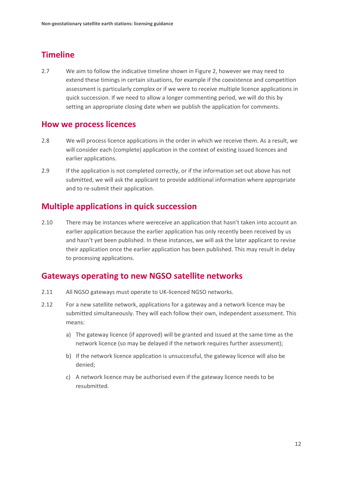# **Timeline**

2.7 We aim to follow the indicative timeline shown in Figure 2, however we may need to extend these timings in certain situations, for example if the coexistence and competition assessment is particularly complex or if we were to receive multiple licence applications in quick succession. If we need to allow a longer commenting period, we will do this by setting an appropriate closing date when we publish the application for comments.

## **How we process licences**

- 2.8 We will process licence applications in the order in which we receive them. As a result, we will consider each (complete) application in the context of existing issued licences and earlier applications.
- 2.9 If the application is not completed correctly, or if the information set out above has not submitted, we will ask the applicant to provide additional information where appropriate and to re-submit their application.

## **Multiple applications in quick succession**

2.10 There may be instances where wereceive an application that hasn't taken into account an earlier application because the earlier application has only recently been received by us and hasn't yet been published. In these instances, we will ask the later applicant to revise their application once the earlier application has been published. This may result in delay to processing applications.

## **Gateways operating to new NGSO satellite networks**

- 2.11 All NGSO gateways must operate to UK-licenced NGSO networks.
- 2.12 For a new satellite network, applications for a gateway and a network licence may be submitted simultaneously. They will each follow their own, independent assessment. This means:
	- a) The gateway licence (if approved) will be granted and issued at the same time as the network licence (so may be delayed if the network requires further assessment);
	- b) If the network licence application is unsuccessful, the gateway licence will also be denied;
	- c) A network licence may be authorised even if the gateway licence needs to be resubmitted.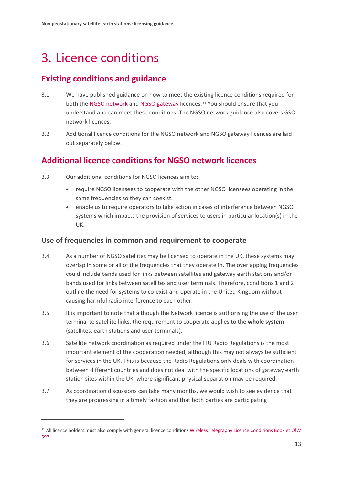# <span id="page-14-0"></span>3. Licence conditions

# **Existing conditions and guidance**

- 3.1 We have published guidance on how to meet the existing licence conditions required for both the [NGSO network](https://www.ofcom.org.uk/__data/assets/pdf_file/0021/19434/esn-licensing-procedures-manual.pdf) an[d NGSO gateway](https://www.ofcom.org.uk/__data/assets/pdf_file/0028/78274/non-geo-licensing-procedures-manual.pdf-procedures-manual.pdf) licences.<sup>[11](#page-14-1)</sup> You should ensure that you understand and can meet these conditions. The NGSO network guidance also covers GSO network licences.
- 3.2 Additional licence conditions for the NGSO network and NGSO gateway licences are laid out separately below.

# **Additional licence conditions for NGSO network licences**

- 3.3 Our additional conditions for NGSO licences aim to:
	- require NGSO licensees to cooperate with the other NGSO licensees operating in the same frequencies so they can coexist.
	- enable us to require operators to take action in cases of interference between NGSO systems which impacts the provision of services to users in particular location(s) in the UK.

### **Use of frequencies in common and requirement to cooperate**

- 3.4 As a number of NGSO satellites may be licensed to operate in the UK, these systems may overlap in some or all of the frequencies that they operate in. The overlapping frequencies could include bands used for links between satellites and gateway earth stations and/or bands used for links between satellites and user terminals. Therefore, conditions 1 and 2 outline the need for systems to co-exist and operate in the United Kingdom without causing harmful radio interference to each other.
- 3.5 It is important to note that although the Network licence is authorising the use of the user terminal to satellite links, the requirement to cooperate applies to the **whole system** (satellites, earth stations and user terminals).
- 3.6 Satellite network coordination as required under the ITU Radio Regulations is the most important element of the cooperation needed, although this may not always be sufficient for services in the UK. This is because the Radio Regulations only deals with coordination between different countries and does not deal with the specific locations of gateway earth station sites within the UK, where significant physical separation may be required.
- 3.7 As coordination discussions can take many months, we would wish to see evidence that they are progressing in a timely fashion and that both parties are participating

<span id="page-14-1"></span><sup>&</sup>lt;sup>11</sup> All licence holders must also comply with general licence conditions Wireless Telegraphy Licence Conditions Booklet OfW [597.](https://www.ofcom.org.uk/__data/assets/pdf_file/0016/214117/emf-glc-licence-conditions-booklet.pdf)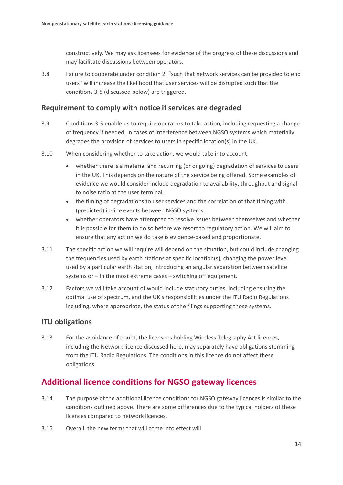constructively. We may ask licensees for evidence of the progress of these discussions and may facilitate discussions between operators.

3.8 Failure to cooperate under condition 2, "such that network services can be provided to end users" will increase the likelihood that user services will be disrupted such that the conditions 3-5 (discussed below) are triggered.

### **Requirement to comply with notice if services are degraded**

- 3.9 Conditions 3-5 enable us to require operators to take action, including requesting a change of frequency if needed, in cases of interference between NGSO systems which materially degrades the provision of services to users in specific location(s) in the UK.
- 3.10 When considering whether to take action, we would take into account:
	- whether there is a material and recurring (or ongoing) degradation of services to users in the UK. This depends on the nature of the service being offered. Some examples of evidence we would consider include degradation to availability, throughput and signal to noise ratio at the user terminal.
	- the timing of degradations to user services and the correlation of that timing with (predicted) in-line events between NGSO systems.
	- whether operators have attempted to resolve issues between themselves and whether it is possible for them to do so before we resort to regulatory action. We will aim to ensure that any action we do take is evidence-based and proportionate.
- 3.11 The specific action we will require will depend on the situation, but could include changing the frequencies used by earth stations at specific location(s), changing the power level used by a particular earth station, introducing an angular separation between satellite systems or – in the most extreme cases – switching off equipment.
- 3.12 Factors we will take account of would include statutory duties, including ensuring the optimal use of spectrum, and the UK's responsibilities under the ITU Radio Regulations including, where appropriate, the status of the filings supporting those systems.

### **ITU obligations**

3.13 For the avoidance of doubt, the licensees holding Wireless Telegraphy Act licences, including the Network licence discussed here, may separately have obligations stemming from the ITU Radio Regulations. The conditions in this licence do not affect these obligations.

## **Additional licence conditions for NGSO gateway licences**

- 3.14 The purpose of the additional licence conditions for NGSO gateway licences is similar to the conditions outlined above. There are some differences due to the typical holders of these licences compared to network licences.
- 3.15 Overall, the new terms that will come into effect will: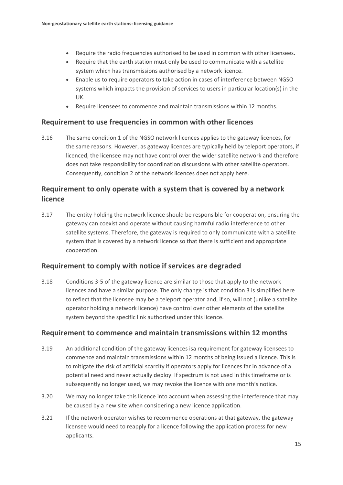- Require the radio frequencies authorised to be used in common with other licensees.
- Require that the earth station must only be used to communicate with a satellite system which has transmissions authorised by a network licence.
- Enable us to require operators to take action in cases of interference between NGSO systems which impacts the provision of services to users in particular location(s) in the UK.
- Require licensees to commence and maintain transmissions within 12 months.

### **Requirement to use frequencies in common with other licences**

3.16 The same condition 1 of the NGSO network licences applies to the gateway licences, for the same reasons. However, as gateway licences are typically held by teleport operators, if licenced, the licensee may not have control over the wider satellite network and therefore does not take responsibility for coordination discussions with other satellite operators. Consequently, condition 2 of the network licences does not apply here.

## **Requirement to only operate with a system that is covered by a network licence**

3.17 The entity holding the network licence should be responsible for cooperation, ensuring the gateway can coexist and operate without causing harmful radio interference to other satellite systems. Therefore, the gateway is required to only communicate with a satellite system that is covered by a network licence so that there is sufficient and appropriate cooperation.

### **Requirement to comply with notice if services are degraded**

3.18 Conditions 3-5 of the gateway licence are similar to those that apply to the network licences and have a similar purpose. The only change is that condition 3 is simplified here to reflect that the licensee may be a teleport operator and, if so, will not (unlike a satellite operator holding a network licence) have control over other elements of the satellite system beyond the specific link authorised under this licence.

#### **Requirement to commence and maintain transmissions within 12 months**

- 3.19 An additional condition of the gateway licences isa requirement for gateway licensees to commence and maintain transmissions within 12 months of being issued a licence. This is to mitigate the risk of artificial scarcity if operators apply for licences far in advance of a potential need and never actually deploy. If spectrum is not used in this timeframe or is subsequently no longer used, we may revoke the licence with one month's notice.
- 3.20 We may no longer take this licence into account when assessing the interference that may be caused by a new site when considering a new licence application.
- 3.21 If the network operator wishes to recommence operations at that gateway, the gateway licensee would need to reapply for a licence following the application process for new applicants.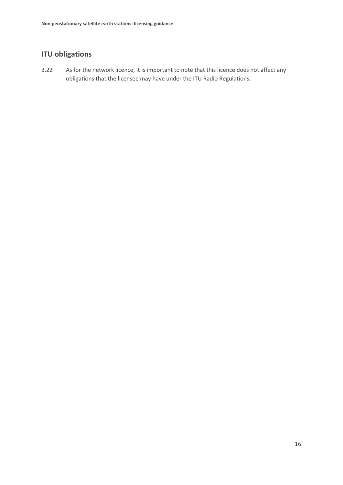## **ITU obligations**

3.22 As for the network licence, it is important to note that this licence does not affect any obligations that the licensee may have under the ITU Radio Regulations.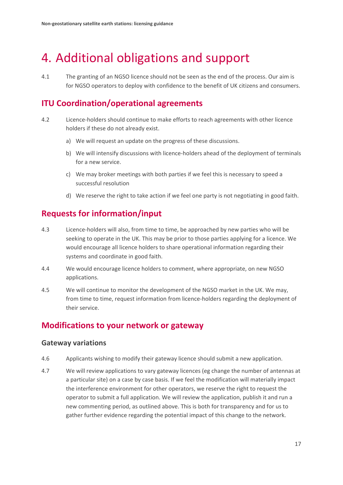# <span id="page-18-0"></span>4. Additional obligations and support

4.1 The granting of an NGSO licence should not be seen as the end of the process. Our aim is for NGSO operators to deploy with confidence to the benefit of UK citizens and consumers.

## **ITU Coordination/operational agreements**

- 4.2 Licence-holders should continue to make efforts to reach agreements with other licence holders if these do not already exist.
	- a) We will request an update on the progress of these discussions.
	- b) We will intensify discussions with licence-holders ahead of the deployment of terminals for a new service.
	- c) We may broker meetings with both parties if we feel this is necessary to speed a successful resolution
	- d) We reserve the right to take action if we feel one party is not negotiating in good faith.

# **Requests for information/input**

- 4.3 Licence-holders will also, from time to time, be approached by new parties who will be seeking to operate in the UK. This may be prior to those parties applying for a licence. We would encourage all licence holders to share operational information regarding their systems and coordinate in good faith.
- 4.4 We would encourage licence holders to comment, where appropriate, on new NGSO applications.
- 4.5 We will continue to monitor the development of the NGSO market in the UK. We may, from time to time, request information from licence-holders regarding the deployment of their service.

## **Modifications to your network or gateway**

#### **Gateway variations**

- 4.6 Applicants wishing to modify their gateway licence should submit a new application.
- 4.7 We will review applications to vary gateway licences (eg change the number of antennas at a particular site) on a case by case basis. If we feel the modification will materially impact the interference environment for other operators, we reserve the right to request the operator to submit a full application. We will review the application, publish it and run a new commenting period, as outlined above. This is both for transparency and for us to gather further evidence regarding the potential impact of this change to the network.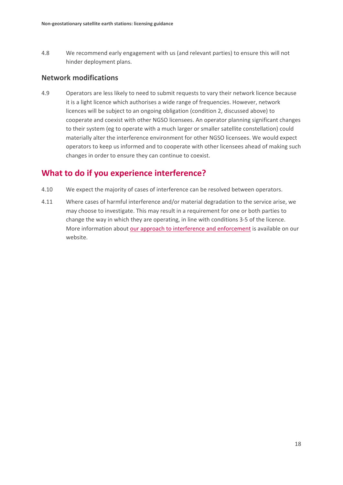4.8 We recommend early engagement with us (and relevant parties) to ensure this will not hinder deployment plans.

### **Network modifications**

4.9 Operators are less likely to need to submit requests to vary their network licence because it is a light licence which authorises a wide range of frequencies. However, network licences will be subject to an ongoing obligation (condition 2, discussed above) to cooperate and coexist with other NGSO licensees. An operator planning significant changes to their system (eg to operate with a much larger or smaller satellite constellation) could materially alter the interference environment for other NGSO licensees. We would expect operators to keep us informed and to cooperate with other licensees ahead of making such changes in order to ensure they can continue to coexist.

## **What to do if you experience interference?**

- 4.10 We expect the majority of cases of interference can be resolved between operators.
- 4.11 Where cases of harmful interference and/or material degradation to the service arise, we may choose to investigate. This may result in a requirement for one or both parties to change the way in which they are operating, in line with conditions 3-5 of the licence. More information about [our approach to interference and enforcement](https://www.ofcom.org.uk/spectrum/interference-enforcement) is available on our website.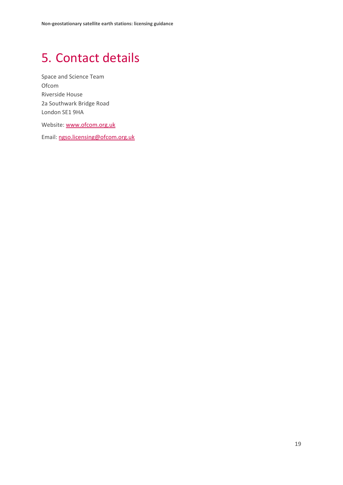# <span id="page-20-0"></span>5. Contact details

Space and Science Team Ofcom Riverside House 2a Southwark Bridge Road London SE1 9HA

Website: [www.ofcom.org.uk](http://www.ofcom.org.uk/)

Email: [ngso.licensing@ofcom.org.uk](mailto:ngso.licensing@ofcom.org.uk)